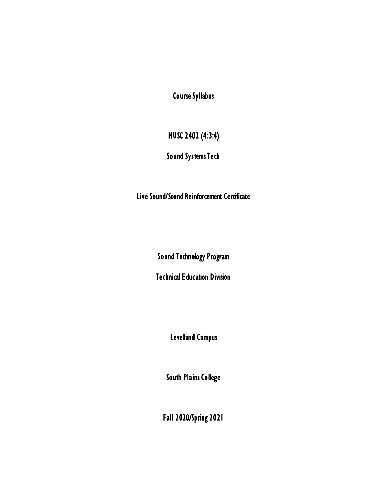Course Syllabus

# MUSC 2402 (4:3:4)

## Sound Systems Tech

Live Sound/Sound Reinforcement Certificate

Sound Technology Program

Technical Education Division

Levelland Campus

South Plains College

Fall 2020/Spring 2021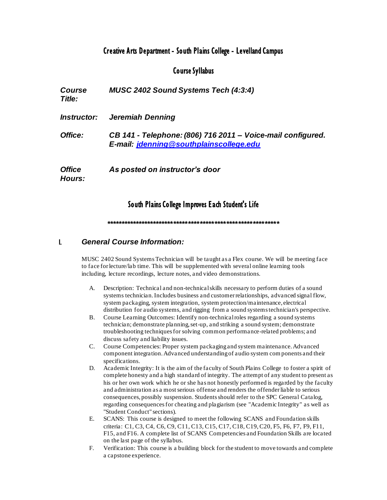### Creative Arts Department - South Plains College - Levelland Campus

### Course Syllabus

*Course Title: MUSC 2402 Sound Systems Tech (4:3:4) Instructor: Jeremiah Denning Office: CB 141 - Telephone: (806) 716 2011 – Voice-mail configured. E-mail: jdenning@southplainscollege.edu Office Hours: As posted on instructor's door*

### South Plains College Improves Each Student's Life

*\*\*\*\*\*\*\*\*\*\*\*\*\*\*\*\*\*\*\*\*\*\*\*\*\*\*\*\*\*\*\*\*\*\*\*\*\*\*\*\*\*\*\*\*\*\*\*\*\*\*\*\*\*\*\*\*\*\*\**

#### I. *General Course Information:*

MUSC 2402 Sound Systems Technician will be taught as a Flex course. We will be meeting face to face for lecture/lab time. This will be supplemented with several online learning tools including, lecture recordings, lecture notes, and video demonstrations.

- A. Description: Technical and non-technical skills necessary to perform duties of a sound systems technician. Includes business and customer relationships, advanced signal flow, system packaging, system integration, system protection/maintenance, electrical distribution for audio systems, and rigging from a sound systems technician's perspective.
- B. Course Learning Outcomes: Identify non-technical roles regarding a sound systems technician; demonstrate planning, set-up, and striking a sound system; demonstrate troubleshooting techniques for solving common performance-related problems; and discuss safety and liability issues.
- C. Course Competencies: Proper system packaging and system maintenance. Advanced component integration. Advanced understanding of audio system components and their specifications.
- D. Academic Integrity: It is the aim of the faculty of South Plains College to foster a spirit of complete honesty and a high standard of integrity. The attempt of any student to present as his or her own work which he or she has not honestly performed is regarded by the faculty and administration as a most serious offense and renders the offender liable to serious consequences, possibly suspension. Students should refer to the SPC General Catalog, regarding consequences for cheating and plagiarism (see "Academic Integrity" as well as "Student Conduct" sections).
- E. SCANS: This course is designed to meet the following SCANS and Foundation skills criteria: C1, C3, C4, C6, C9, C11, C13, C15, C17, C18, C19,C20, F5, F6, F7, F9, F11, F15, and F16. A complete list of SCANS Competencies and Foundation Skills are located on the last page of the syllabus.
- F. Verification: This course is a building block for the student to move towards and complete a capstone experience.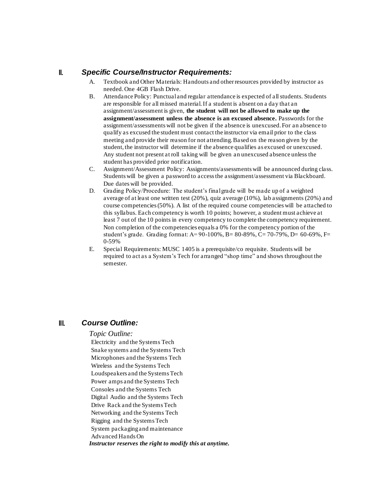#### II. *Specific Course/Instructor Requirements:*

- A. Textbook and Other Materials: Handouts and other resources provided by instructor as needed. One 4GB Flash Drive.
- B. Attendance Policy: Punctual and regular attendance is expected of all students. Students are responsible for all missed material. If a student is absent on a day that an assignment/assessment is given, **the student will not be allowed to make up the assignment/assessment unless the absence is an excused absence.** Passwords for the assignment/assessments will not be given if the absence is unexcused. For an absence to qualify as excused the student must contact the instructor via email prior to the class meeting and provide their reason for not attending. Based on the reason given by the student, the instructor will determine if the absence qualifies as excused or unexcused. Any student not present at roll taking will be given an unexcused absence unless the student has provided prior notification.
- C. Assignment/Assessment Policy: Assignments/assessments will be announced during class. Students will be given a password to access the assignment/assessment via Blackboard. Due dates will be provided.
- D. Grading Policy/Procedure: The student's final grade will be made up of a weighted average of at least one written test (20%), quiz average (10%), lab assignments (20%) and course competencies (50%). A list of the required course competencies will be attached to this syllabus. Each competency is worth 10 points; however, a student must achieve at least 7 out of the 10 points in every competency to complete the competency requirement. Non completion of the competencies equals a  $0\%$  for the competency portion of the student's grade. Grading format: A=  $90-100\%$ , B=  $80-89\%$ , C=  $70-79\%$ , D=  $60-69\%$ , F= 0-59%
- E. Special Requirements: MUSC 1405 is a prerequisite/co requisite. Students will be required to act as a System's Tech for arranged "shop time" and shows throughout the semester.

#### III. *Course Outline:*

#### *Topic Outline:*

Electricity and the Systems Tech Snake systems and the Systems Tech Microphones and the Systems Tech Wireless and the Systems Tech Loudspeakers and the Systems Tech Power amps and the Systems Tech Consoles and the Systems Tech Digital Audio and the Systems Tech Drive Rack and the Systems Tech Networking and the Systems Tech Rigging and the Systems Tech System packaging and maintenance Advanced Hands On *Instructor reserves the right to modify this at anytime.*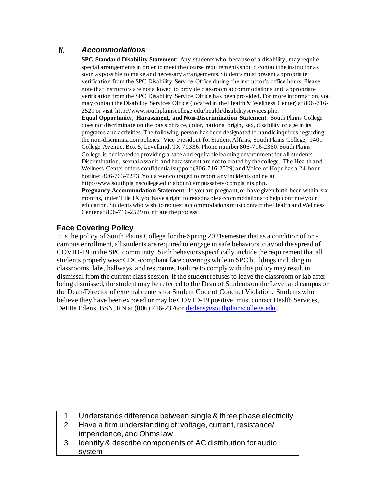## IV. *Accommodations*

**SPC Standard Disability Statement**: Any students who, because of a disability, may require special arrangements in order to meet the course requirements should contact the instructor as soon as possible to make and necessary arrangements. Students must present appropria te verification from the SPC Disability Service Office during the instructor's office hours. Please note that instructors are not allowed to provide classroom accommodations until appropriate verification from the SPC Disability Service Office has been provided. For more information, you may contact the Disability Services Office (located in the Health & Wellness Center) at 806 -716- 2529 or visit http://www.southplainscollege.edu/health/disabilityservices.php.

**Equal Opportunity, Harassment, and Non-Discrimination Statement**: South Plains College does not discriminate on the basis of race, color, national origin, sex, disability or age in its programs and activities. The following person has been designated to handle inquiries regarding the non-discrimination policies: Vice President for Student Affairs, South Plains College, 1401 College Avenue, Box 5, Levelland, TX 79336. Phone number 806-716-2360. South Plains College is dedicated to providing a safe and equitable learning environment for all students. Discrimination, sexual assault, and harassment are not tolerated by the college. The Health and Wellness Center offers confidential support (806-716-2529) and Voice of Hope has a 24-hour hotline: 806-763-7273. You are encouraged to report any incidents online at http://www.southplainscollege.edu/ about/campussafety/complaints.php.

**Pregnancy Accommodation Statement**: If you are pregnant, or have given birth been within six months, under Title IX you have a right to reasonable accommodations to help continue your education. Students who wish to request accommodations must contact the Health and Wellness Center at 806-716-2529 to initiate the process.

#### **Face Covering Policy**

It is the policy of South Plains College for the Spring 2021semester that as a condition of oncampus enrollment, all students are required to engage in safe behaviors to avoid the spread of COVID-19 in the SPC community. Such behaviors specifically include the requirement that all students properly wear CDC-compliant face coverings while in SPC buildings including in classrooms, labs, hallways, and restrooms. Failure to comply with this policy may result in dismissal from the current class session. If the student refuses to leave the classroom or lab after being dismissed, the student may be referred to the Dean of Students on the Levelland campus or the Dean/Director of external centers for Student Code of Conduct Violation. Students who believe they have been exposed or may be COVID-19 positive, must contact Health Services, DeEtte Edens, BSN, RN at (806) 716-2376 or dedens@southplainscollege.edu.

|   | Understands difference between single & three phase electricity |
|---|-----------------------------------------------------------------|
|   | Have a firm understanding of: voltage, current, resistance/     |
|   | impendence, and Ohms law                                        |
| 3 | Identify & describe components of AC distribution for audio     |
|   | system                                                          |